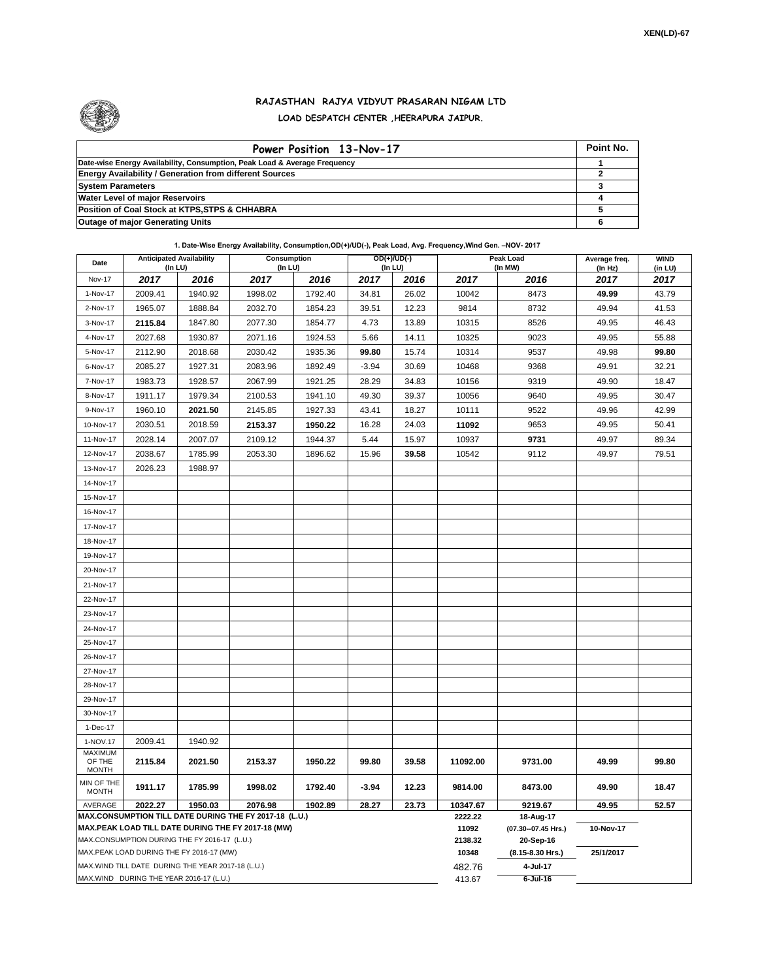

## **RAJASTHAN RAJYA VIDYUT PRASARAN NIGAM LTD LOAD DESPATCH CENTER ,HEERAPURA JAIPUR.**

| Power Position 13-Nov-17                                                  | Point No. |
|---------------------------------------------------------------------------|-----------|
| Date-wise Energy Availability, Consumption, Peak Load & Average Frequency |           |
| <b>Energy Availability / Generation from different Sources</b>            |           |
| <b>System Parameters</b>                                                  |           |
| <b>Water Level of major Reservoirs</b>                                    |           |
| Position of Coal Stock at KTPS, STPS & CHHABRA                            |           |
| <b>Outage of major Generating Units</b>                                   |           |

## **1. Date-Wise Energy Availability, Consumption,OD(+)/UD(-), Peak Load, Avg. Frequency,Wind Gen. –NOV- 2017**

| Date                                                                                                         | <b>Anticipated Availability</b><br>$($ In LU $)$           |         | <b>Consumption</b><br>(In LU) |         | $OD(+)/UD(-)$<br>(In LU) |       |                     | <b>Peak Load</b><br>(In MW)      | Average freq.<br>(In Hz) | <b>WIND</b><br>(in LU) |  |
|--------------------------------------------------------------------------------------------------------------|------------------------------------------------------------|---------|-------------------------------|---------|--------------------------|-------|---------------------|----------------------------------|--------------------------|------------------------|--|
| <b>Nov-17</b>                                                                                                | 2017                                                       | 2016    | 2017                          | 2016    | 2017                     | 2016  | 2017                | 2016                             | 2017                     | 2017                   |  |
| 1-Nov-17                                                                                                     | 2009.41                                                    | 1940.92 | 1998.02                       | 1792.40 | 34.81                    | 26.02 | 10042               | 8473                             | 49.99                    | 43.79                  |  |
| 2-Nov-17                                                                                                     | 1965.07                                                    | 1888.84 | 2032.70                       | 1854.23 | 39.51                    | 12.23 | 9814                | 8732                             | 49.94                    | 41.53                  |  |
| 3-Nov-17                                                                                                     | 2115.84                                                    | 1847.80 | 2077.30                       | 1854.77 | 4.73                     | 13.89 | 10315               | 8526                             | 49.95                    | 46.43                  |  |
| 4-Nov-17                                                                                                     | 2027.68                                                    | 1930.87 | 2071.16                       | 1924.53 | 5.66                     | 14.11 | 10325               | 9023                             | 49.95                    | 55.88                  |  |
| 5-Nov-17                                                                                                     | 2112.90                                                    | 2018.68 | 2030.42                       | 1935.36 | 99.80                    | 15.74 | 10314               | 9537                             | 49.98                    | 99.80                  |  |
| 6-Nov-17                                                                                                     | 2085.27                                                    | 1927.31 | 2083.96                       | 1892.49 | $-3.94$                  | 30.69 | 10468               | 9368                             | 49.91                    | 32.21                  |  |
| 7-Nov-17                                                                                                     | 1983.73                                                    | 1928.57 | 2067.99                       | 1921.25 | 28.29                    | 34.83 | 10156               | 9319                             | 49.90                    | 18.47                  |  |
| 8-Nov-17                                                                                                     | 1911.17                                                    | 1979.34 | 2100.53                       | 1941.10 | 49.30                    | 39.37 | 10056               | 9640                             | 49.95                    | 30.47                  |  |
| 9-Nov-17                                                                                                     | 1960.10                                                    | 2021.50 | 2145.85                       | 1927.33 | 43.41                    | 18.27 | 10111               | 9522                             | 49.96                    | 42.99                  |  |
| 10-Nov-17                                                                                                    | 2030.51                                                    | 2018.59 | 2153.37                       | 1950.22 | 16.28                    | 24.03 | 11092               | 9653                             | 49.95                    | 50.41                  |  |
| 11-Nov-17                                                                                                    | 2028.14                                                    | 2007.07 | 2109.12                       | 1944.37 | 5.44                     | 15.97 | 10937               | 9731                             | 49.97                    | 89.34                  |  |
| 12-Nov-17                                                                                                    | 2038.67                                                    | 1785.99 | 2053.30                       | 1896.62 | 15.96                    | 39.58 | 10542               | 9112                             | 49.97                    | 79.51                  |  |
| 13-Nov-17                                                                                                    | 2026.23                                                    | 1988.97 |                               |         |                          |       |                     |                                  |                          |                        |  |
| 14-Nov-17                                                                                                    |                                                            |         |                               |         |                          |       |                     |                                  |                          |                        |  |
| 15-Nov-17                                                                                                    |                                                            |         |                               |         |                          |       |                     |                                  |                          |                        |  |
| 16-Nov-17                                                                                                    |                                                            |         |                               |         |                          |       |                     |                                  |                          |                        |  |
| 17-Nov-17                                                                                                    |                                                            |         |                               |         |                          |       |                     |                                  |                          |                        |  |
| 18-Nov-17                                                                                                    |                                                            |         |                               |         |                          |       |                     |                                  |                          |                        |  |
| 19-Nov-17                                                                                                    |                                                            |         |                               |         |                          |       |                     |                                  |                          |                        |  |
| 20-Nov-17                                                                                                    |                                                            |         |                               |         |                          |       |                     |                                  |                          |                        |  |
| 21-Nov-17                                                                                                    |                                                            |         |                               |         |                          |       |                     |                                  |                          |                        |  |
| 22-Nov-17                                                                                                    |                                                            |         |                               |         |                          |       |                     |                                  |                          |                        |  |
| 23-Nov-17                                                                                                    |                                                            |         |                               |         |                          |       |                     |                                  |                          |                        |  |
| 24-Nov-17                                                                                                    |                                                            |         |                               |         |                          |       |                     |                                  |                          |                        |  |
| 25-Nov-17                                                                                                    |                                                            |         |                               |         |                          |       |                     |                                  |                          |                        |  |
| 26-Nov-17                                                                                                    |                                                            |         |                               |         |                          |       |                     |                                  |                          |                        |  |
| 27-Nov-17                                                                                                    |                                                            |         |                               |         |                          |       |                     |                                  |                          |                        |  |
| 28-Nov-17                                                                                                    |                                                            |         |                               |         |                          |       |                     |                                  |                          |                        |  |
| 29-Nov-17                                                                                                    |                                                            |         |                               |         |                          |       |                     |                                  |                          |                        |  |
| 30-Nov-17                                                                                                    |                                                            |         |                               |         |                          |       |                     |                                  |                          |                        |  |
| 1-Dec-17                                                                                                     |                                                            |         |                               |         |                          |       |                     |                                  |                          |                        |  |
| 1-NOV.17                                                                                                     | 2009.41                                                    | 1940.92 |                               |         |                          |       |                     |                                  |                          |                        |  |
| <b>MAXIMUM</b><br>OF THE<br><b>MONTH</b>                                                                     | 2115.84                                                    | 2021.50 | 2153.37                       | 1950.22 | 99.80                    | 39.58 | 11092.00            | 9731.00                          | 49.99                    | 99.80                  |  |
| MIN OF THE<br><b>MONTH</b>                                                                                   | 1911.17                                                    | 1785.99 | 1998.02                       | 1792.40 | $-3.94$                  | 12.23 | 9814.00             | 8473.00                          | 49.90                    | 18.47                  |  |
| AVERAGE                                                                                                      | 2022.27<br>1950.03<br>2076.98<br>1902.89<br>28.27<br>23.73 |         |                               |         |                          |       | 10347.67<br>2222.22 | 9219.67                          | 49.95                    | 52.57                  |  |
| MAX.CONSUMPTION TILL DATE DURING THE FY 2017-18 (L.U.)<br>MAX.PEAK LOAD TILL DATE DURING THE FY 2017-18 (MW) |                                                            |         |                               |         |                          |       |                     | 18-Aug-17<br>(07.30--07.45 Hrs.) | 10-Nov-17                |                        |  |
|                                                                                                              | MAX.CONSUMPTION DURING THE FY 2016-17 (L.U.)               |         |                               |         |                          |       | 11092<br>2138.32    | 20-Sep-16                        |                          |                        |  |
|                                                                                                              | MAX.PEAK LOAD DURING THE FY 2016-17 (MW)                   |         |                               |         |                          |       | 10348               | (8.15-8.30 Hrs.)                 | 25/1/2017                |                        |  |
| MAX.WIND TILL DATE DURING THE YEAR 2017-18 (L.U.)                                                            |                                                            |         |                               |         |                          |       |                     | 4-Jul-17                         |                          |                        |  |
| MAX.WIND DURING THE YEAR 2016-17 (L.U.)                                                                      |                                                            |         |                               |         |                          |       |                     | $6$ -Jul-16                      |                          |                        |  |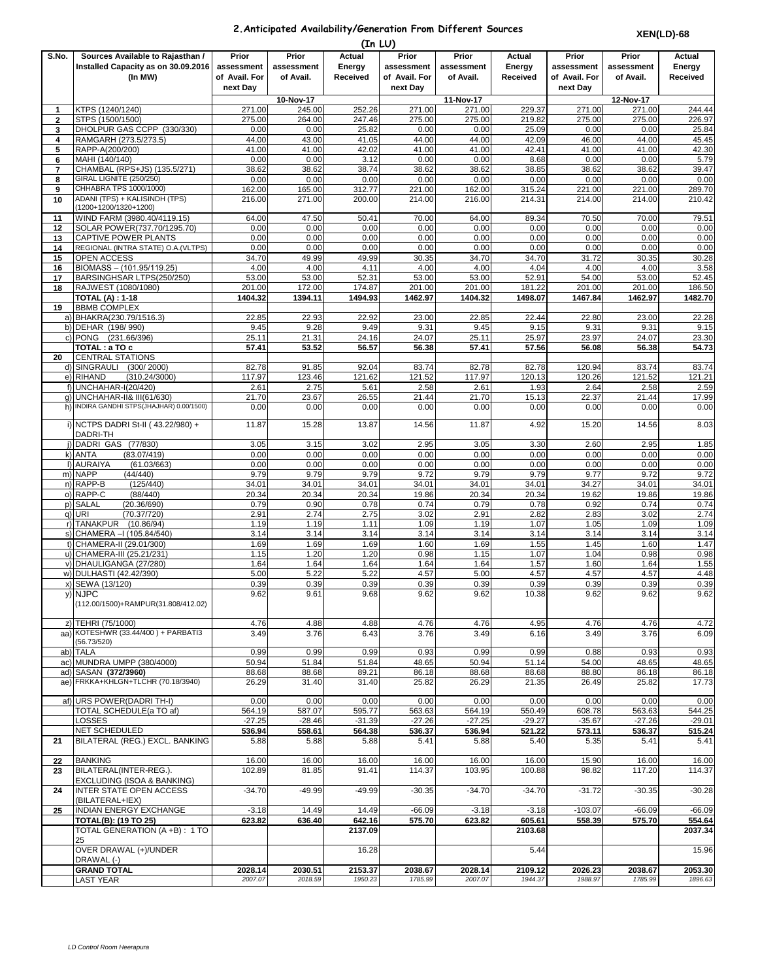## **2.Anticipated Availability/Generation From Different Sources**

**XEN(LD)-68**

|                   | $n = n - n$<br>(In LU)                                     |                   |                  |                  |                    |                   |                   |                     |                    |                    |  |
|-------------------|------------------------------------------------------------|-------------------|------------------|------------------|--------------------|-------------------|-------------------|---------------------|--------------------|--------------------|--|
| S.No.             | Sources Available to Rajasthan /                           | Prior             | Prior            | Actual           | Prior              | Prior             | Actual            | Prior               | Prior              | <b>Actual</b>      |  |
|                   | Installed Capacity as on 30.09.2016                        | assessment        | assessment       | Energy           | assessment         | assessment        | Energy            | assessment          | assessment         | Energy             |  |
|                   | (In MW)                                                    | of Avail. For     | of Avail.        | Received         | of Avail. For      | of Avail.         | Received          | of Avail. For       | of Avail.          | Received           |  |
|                   |                                                            | next Day          |                  |                  | next Day           |                   |                   | next Day            |                    |                    |  |
|                   |                                                            |                   | 10-Nov-17        |                  |                    | 11-Nov-17         |                   |                     | 12-Nov-17          |                    |  |
| 1<br>$\mathbf{2}$ | KTPS (1240/1240)<br>STPS (1500/1500)                       | 271.00<br>275.00  | 245.00<br>264.00 | 252.26<br>247.46 | 271.00<br>275.00   | 271.00<br>275.00  | 229.37<br>219.82  | 271.00<br>275.00    | 271.00<br>275.00   | 244.44<br>226.97   |  |
| 3                 | DHOLPUR GAS CCPP (330/330)                                 | 0.00              | 0.00             | 25.82            | 0.00               | 0.00              | 25.09             | 0.00                | 0.00               | 25.84              |  |
| 4                 | RAMGARH (273.5/273.5)                                      | 44.00             | 43.00            | 41.05            | 44.00              | 44.00             | 42.09             | 46.00               | 44.00              | 45.45              |  |
| 5                 | RAPP-A(200/200)                                            | 41.00             | 41.00            | 42.02            | 41.00              | 41.00             | 42.41             | 41.00               | 41.00              | 42.30              |  |
| 6                 | MAHI (140/140)                                             | 0.00              | 0.00             | 3.12             | 0.00               | 0.00              | 8.68              | 0.00                | 0.00               | 5.79               |  |
| 7                 | CHAMBAL (RPS+JS) (135.5/271)                               | 38.62             | 38.62            | 38.74            | 38.62              | 38.62             | 38.85             | 38.62               | 38.62              | 39.47              |  |
| 8                 | GIRAL LIGNITE (250/250)<br>CHHABRA TPS 1000/1000)          | 0.00<br>162.00    | 0.00<br>165.00   | 0.00<br>312.77   | 0.00<br>221.00     | 0.00<br>162.00    | 0.00              | 0.00<br>221.00      | 0.00               | 0.00               |  |
| 9<br>10           | ADANI (TPS) + KALISINDH (TPS)                              | 216.00            | 271.00           | 200.00           | 214.00             | 216.00            | 315.24<br>214.31  | 214.00              | 221.00<br>214.00   | 289.70<br>210.42   |  |
|                   | (1200+1200/1320+1200)                                      |                   |                  |                  |                    |                   |                   |                     |                    |                    |  |
| 11                | WIND FARM (3980.40/4119.15)                                | 64.00             | 47.50            | 50.41            | 70.00              | 64.00             | 89.34             | 70.50               | 70.00              | 79.51              |  |
| 12                | SOLAR POWER(737.70/1295.70)                                | 0.00              | 0.00             | 0.00             | 0.00               | 0.00              | 0.00              | 0.00                | 0.00               | 0.00               |  |
| 13                | <b>CAPTIVE POWER PLANTS</b>                                | 0.00              | 0.00             | 0.00             | 0.00               | 0.00              | 0.00              | 0.00                | 0.00               | 0.00               |  |
| 14                | REGIONAL (INTRA STATE) O.A. (VLTPS)                        | 0.00              | 0.00             | 0.00             | 0.00               | 0.00              | 0.00              | 0.00                | 0.00               | 0.00               |  |
| 15<br>16          | OPEN ACCESS<br>BIOMASS - (101.95/119.25)                   | 34.70<br>4.00     | 49.99<br>4.00    | 49.99<br>4.11    | 30.35<br>4.00      | 34.70<br>4.00     | 34.70<br>4.04     | 31.72<br>4.00       | 30.35<br>4.00      | 30.28<br>3.58      |  |
| 17                | BARSINGHSAR LTPS(250/250)                                  | 53.00             | 53.00            | 52.31            | 53.00              | 53.00             | 52.91             | 54.00               | 53.00              | 52.45              |  |
| 18                | RAJWEST (1080/1080)                                        | 201.00            | 172.00           | 174.87           | 201.00             | 201.00            | 181.22            | 201.00              | 201.00             | 186.50             |  |
|                   | <b>TOTAL (A): 1-18</b>                                     | 1404.32           | 1394.11          | 1494.93          | 1462.97            | 1404.32           | 1498.07           | 1467.84             | 1462.97            | 1482.70            |  |
| 19                | <b>BBMB COMPLEX</b>                                        |                   |                  |                  |                    |                   |                   |                     |                    |                    |  |
|                   | a) BHAKRA(230.79/1516.3)                                   | 22.85             | 22.93            | 22.92            | 23.00              | 22.85             | 22.44             | 22.80               | 23.00              | 22.28              |  |
|                   | b) DEHAR (198/990)                                         | 9.45              | 9.28             | 9.49             | 9.31               | 9.45              | 9.15              | 9.31                | 9.31               | 9.15               |  |
|                   | c) PONG (231.66/396)                                       | 25.11             | 21.31            | 24.16            | 24.07              | 25.11             | 25.97             | 23.97               | 24.07              | 23.30              |  |
| 20                | TOTAL : a TO c<br><b>CENTRAL STATIONS</b>                  | 57.41             | 53.52            | 56.57            | 56.38              | 57.41             | 57.56             | 56.08               | 56.38              | 54.73              |  |
|                   | d) SINGRAULI<br>(300/2000)                                 | 82.78             | 91.85            | 92.04            | 83.74              | 82.78             | 82.78             | 120.94              | 83.74              | 83.74              |  |
|                   | e) RIHAND<br>(310.24/3000)                                 | 117.97            | 123.46           | 121.62           | 121.52             | 117.97            | 120.13            | 120.26              | 121.52             | 121.21             |  |
|                   | f) UNCHAHAR-I(20/420)                                      | 2.61              | 2.75             | 5.61             | 2.58               | 2.61              | 1.93              | 2.64                | 2.58               | 2.59               |  |
|                   | q) UNCHAHAR-II& III(61/630)                                | 21.70             | 23.67            | 26.55            | 21.44              | 21.70             | 15.13             | 22.37               | 21.44              | 17.99              |  |
|                   | h) INDIRA GANDHI STPS(JHAJHAR) 0.00/1500)                  | 0.00              | 0.00             | 0.00             | 0.00               | 0.00              | 0.00              | 0.00                | 0.00               | 0.00               |  |
|                   | i) NCTPS DADRI St-II (43.22/980) +                         | 11.87             | 15.28            | 13.87            | 14.56              | 11.87             | 4.92              | 15.20               | 14.56              | 8.03               |  |
|                   | DADRI-TH                                                   |                   |                  |                  |                    |                   |                   |                     |                    |                    |  |
|                   | j) DADRI GAS (77/830)<br>(83.07/419)<br>k) ANTA            | 3.05<br>0.00      | 3.15<br>0.00     | 3.02<br>0.00     | 2.95<br>0.00       | 3.05<br>0.00      | 3.30<br>0.00      | 2.60<br>0.00        | 2.95<br>0.00       | 1.85<br>0.00       |  |
|                   | I) AURAIYA<br>(61.03/663)                                  | 0.00              | 0.00             | 0.00             | 0.00               | 0.00              | 0.00              | 0.00                | 0.00               | 0.00               |  |
|                   | m) NAPP<br>(44/440)                                        | 9.79              | 9.79             | 9.79             | 9.72               | 9.79              | 9.79              | 9.77                | 9.72               | 9.72               |  |
|                   | n) RAPP-B<br>(125/440)                                     | 34.01             | 34.01            | 34.01            | 34.01              | 34.01             | 34.01             | 34.27               | 34.01              | 34.01              |  |
|                   | o) RAPP-C<br>(88/440)                                      | 20.34             | 20.34            | 20.34            | 19.86              | 20.34             | 20.34             | 19.62               | 19.86              | 19.86              |  |
|                   | p) SALAL<br>(20.36/690)                                    | 0.79              | 0.90             | 0.78             | 0.74               | 0.79              | 0.78              | 0.92                | 0.74               | 0.74               |  |
|                   | q) URI<br>(70.37/720)                                      | 2.91              | 2.74             | 2.75             | 3.02               | 2.91              | 2.82              | 2.83                | 3.02               | 2.74               |  |
|                   | r) TANAKPUR (10.86/94)<br>s) CHAMERA - (105.84/540)        | 1.19<br>3.14      | 1.19<br>3.14     | 1.11<br>3.14     | 1.09<br>3.14       | 1.19<br>3.14      | 1.07<br>3.14      | 1.05<br>3.14        | 1.09<br>3.14       | 1.09<br>3.14       |  |
|                   | t) CHAMERA-II (29.01/300)                                  | 1.69              | 1.69             | 1.69             | 1.60               | 1.69              | 1.55              | 1.45                | 1.60               | 1.47               |  |
|                   | u) CHAMERA-III (25.21/231)                                 | 1.15              | 1.20             | 1.20             | 0.98               | 1.15              | 1.07              | 1.04                | 0.98               | 0.98               |  |
|                   | v) DHAULIGANGA (27/280)                                    | 1.64              | 1.64             | 1.64             | 1.64               | 1.64              | 1.57              | 1.60                | 1.64               | 1.55               |  |
|                   | w) DULHASTI (42.42/390)                                    | 5.00              | 5.22             | 5.22             | 4.57               | 5.00              | 4.57              | 4.57                | 4.57               | 4.48               |  |
|                   | x) SEWA (13/120)                                           | 0.39              | 0.39             | 0.39             | 0.39               | 0.39              | 0.39              | 0.39                | 0.39               | 0.39               |  |
|                   | y) NJPC                                                    | 9.62              | 9.61             | 9.68             | 9.62               | 9.62              | 10.38             | 9.62                | 9.62               | 9.62               |  |
|                   | (112.00/1500)+RAMPUR(31.808/412.02)                        |                   |                  |                  |                    |                   |                   |                     |                    |                    |  |
|                   | z) TEHRI (75/1000)                                         | 4.76              | 4.88             | 4.88             | 4.76               | 4.76              | 4.95              | 4.76                | 4.76               | 4.72               |  |
|                   | aa) KOTESHWR (33.44/400) + PARBATI3                        | 3.49              | 3.76             | 6.43             | 3.76               | 3.49              | 6.16              | 3.49                | 3.76               | 6.09               |  |
|                   | (56.73/520)                                                |                   |                  |                  |                    |                   |                   |                     |                    |                    |  |
|                   | ab) TALA                                                   | 0.99              | 0.99             | 0.99             | 0.93               | 0.99              | 0.99              | 0.88                | 0.93               | 0.93               |  |
|                   | ac) MUNDRA UMPP (380/4000)                                 | 50.94<br>88.68    | 51.84<br>88.68   | 51.84<br>89.21   | 48.65<br>86.18     | 50.94<br>88.68    | 51.14<br>88.68    | 54.00<br>88.80      | 48.65<br>86.18     | 48.65<br>86.18     |  |
|                   | ad) SASAN (372/3960)<br>ae) FRKKA+KHLGN+TLCHR (70.18/3940) | 26.29             | 31.40            | 31.40            | 25.82              | 26.29             | 21.35             | 26.49               | 25.82              | 17.73              |  |
|                   |                                                            |                   |                  |                  |                    |                   |                   |                     |                    |                    |  |
|                   | af) URS POWER (DADRI TH-I)                                 | 0.00              | 0.00             | 0.00             | 0.00               | 0.00              | 0.00              | 0.00                | 0.00               | 0.00               |  |
|                   | TOTAL SCHEDULE(a TO af)                                    | 564.19            | 587.07           | 595.77           | 563.63             | 564.19            | 550.49            | 608.78              | 563.63             | 544.25             |  |
|                   | LOSSES                                                     | $-27.25$          | $-28.46$         | $-31.39$         | $-27.26$           | $-27.25$          | $-29.27$          | $-35.67$            | $-27.26$           | $-29.01$           |  |
| 21                | <b>NET SCHEDULED</b><br>BILATERAL (REG.) EXCL. BANKING     | 536.94<br>5.88    | 558.61<br>5.88   | 564.38<br>5.88   | 536.37<br>5.41     | 536.94<br>5.88    | 521.22<br>5.40    | 573.11<br>5.35      | 536.37<br>5.41     | 515.24<br>5.41     |  |
|                   |                                                            |                   |                  |                  |                    |                   |                   |                     |                    |                    |  |
| 22                | <b>BANKING</b>                                             | 16.00             | 16.00            | 16.00            | 16.00              | 16.00             | 16.00             | 15.90               | 16.00              | 16.00              |  |
| 23                | BILATERAL(INTER-REG.).                                     | 102.89            | 81.85            | 91.41            | 114.37             | 103.95            | 100.88            | 98.82               | 117.20             | 114.37             |  |
|                   | EXCLUDING (ISOA & BANKING)                                 |                   |                  |                  |                    |                   |                   |                     |                    |                    |  |
| 24                | <b>INTER STATE OPEN ACCESS</b>                             | $-34.70$          | $-49.99$         | $-49.99$         | $-30.35$           | $-34.70$          | $-34.70$          | $-31.72$            | $-30.35$           | $-30.28$           |  |
|                   | (BILATERAL+IEX)                                            |                   |                  |                  |                    |                   |                   |                     |                    |                    |  |
| 25                | <b>INDIAN ENERGY EXCHANGE</b><br>TOTAL(B): (19 TO 25)      | $-3.18$<br>623.82 | 14.49<br>636.40  | 14.49<br>642.16  | $-66.09$<br>575.70 | $-3.18$<br>623.82 | $-3.18$<br>605.61 | $-103.07$<br>558.39 | $-66.09$<br>575.70 | $-66.09$<br>554.64 |  |
|                   | TOTAL GENERATION (A +B) : 1 TO                             |                   |                  | 2137.09          |                    |                   | 2103.68           |                     |                    | 2037.34            |  |
|                   | 25                                                         |                   |                  |                  |                    |                   |                   |                     |                    |                    |  |
|                   | OVER DRAWAL (+)/UNDER                                      |                   |                  | 16.28            |                    |                   | 5.44              |                     |                    | 15.96              |  |
|                   | DRAWAL (-)                                                 |                   |                  |                  |                    |                   |                   |                     |                    |                    |  |
|                   | <b>GRAND TOTAL</b>                                         | 2028.14           | 2030.51          | 2153.37          | 2038.67            | 2028.14           | 2109.12           | 2026.23             | 2038.67            | 2053.30            |  |
|                   | <b>LAST YEAR</b>                                           | 2007.07           | 2018.59          | 1950.23          | 1785.99            | 2007.07           | 1944.37           | 1988.97             | 1785.99            | 1896.63            |  |